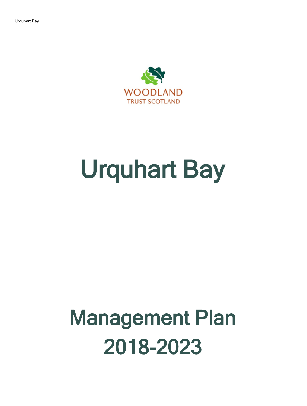

# Urquhart Bay

## Management Plan 2018-2023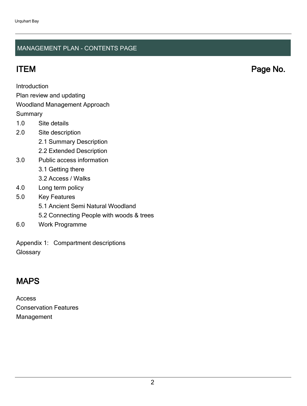### MANAGEMENT PLAN - CONTENTS PAGE

ITEM Page No.

Introduction

Plan review and updating

### Woodland Management Approach

**Summary** 

- 1.0 Site details
- 2.0 Site description
	- 2.1 Summary Description
	- 2.2 Extended Description
- 3.0 Public access information
	- 3.1 Getting there
	- 3.2 Access / Walks
- 4.0 Long term policy
- 5.0 Key Features
	- 5.1 Ancient Semi Natural Woodland
	- 5.2 Connecting People with woods & trees
- 6.0 Work Programme

Appendix 1: Compartment descriptions **Glossary** 

### MAPS

Access Conservation Features Management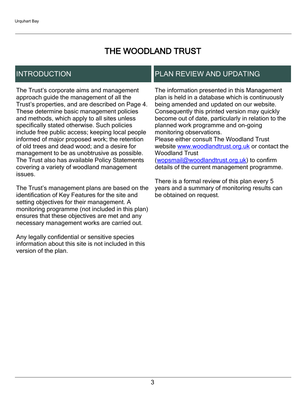## THE WOODLAND TRUST

### INTRODUCTION

The Trust's corporate aims and management approach guide the management of all the Trust's properties, and are described on Page 4. These determine basic management policies and methods, which apply to all sites unless specifically stated otherwise. Such policies include free public access; keeping local people informed of major proposed work; the retention of old trees and dead wood; and a desire for management to be as unobtrusive as possible. The Trust also has available Policy Statements covering a variety of woodland management issues.

The Trust's management plans are based on the identification of Key Features for the site and setting objectives for their management. A monitoring programme (not included in this plan) ensures that these objectives are met and any necessary management works are carried out.

Any legally confidential or sensitive species information about this site is not included in this version of the plan.

### PLAN REVIEW AND UPDATING

The information presented in this Management plan is held in a database which is continuously being amended and updated on our website. Consequently this printed version may quickly become out of date, particularly in relation to the planned work programme and on-going monitoring observations. Please either consult The Woodland Trust website [www.woodlandtrust.org.uk](http://www.woodlandtrust.org.uk/) or contact the Woodland Trust [\(wopsmail@woodlandtrust.org.uk](mailto:wopsmail@woodlandtrust.org.uk)) to confirm

details of the current management programme.

There is a formal review of this plan every 5 years and a summary of monitoring results can be obtained on request.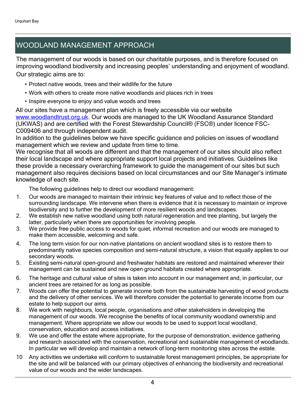### WOODLAND MANAGEMENT APPROACH

The management of our woods is based on our charitable purposes, and is therefore focused on improving woodland biodiversity and increasing peoples' understanding and enjoyment of woodland. Our strategic aims are to:

- Protect native woods, trees and their wildlife for the future
- Work with others to create more native woodlands and places rich in trees
- Inspire everyone to enjoy and value woods and trees

All our sites have a management plan which is freely accessible via our website [www.woodlandtrust.org.uk.](http://www.woodlandtrust.org.uk/) Our woods are managed to the UK Woodland Assurance Standard (UKWAS) and are certified with the Forest Stewardship Council® (FSC®) under licence FSC-C009406 and through independent audit.

In addition to the guidelines below we have specific guidance and policies on issues of woodland management which we review and update from time to time.

We recognise that all woods are different and that the management of our sites should also reflect their local landscape and where appropriate support local projects and initiatives. Guidelines like these provide a necessary overarching framework to guide the management of our sites but such management also requires decisions based on local circumstances and our Site Manager's intimate knowledge of each site.

The following guidelines help to direct our woodland management:

- 1. Our woods are managed to maintain their intrinsic key features of value and to reflect those of the surrounding landscape. We intervene when there is evidence that it is necessary to maintain or improve biodiversity and to further the development of more resilient woods and landscapes.
- 2. We establish new native woodland using both natural regeneration and tree planting, but largely the latter, particularly when there are opportunities for involving people.
- 3. We provide free public access to woods for quiet, informal recreation and our woods are managed to make them accessible, welcoming and safe.
- 4. The long term vision for our non-native plantations on ancient woodland sites is to restore them to predominantly native species composition and semi-natural structure, a vision that equally applies to our secondary woods.
- 5. Existing semi-natural open-ground and freshwater habitats are restored and maintained wherever their management can be sustained and new open ground habitats created where appropriate.
- 6. The heritage and cultural value of sites is taken into account in our management and, in particular, our ancient trees are retained for as long as possible.
- 7. Woods can offer the potential to generate income both from the sustainable harvesting of wood products and the delivery of other services. We will therefore consider the potential to generate income from our estate to help support our aims.
- 8. We work with neighbours, local people, organisations and other stakeholders in developing the management of our woods. We recognise the benefits of local community woodland ownership and management. Where appropriate we allow our woods to be used to support local woodland, conservation, education and access initiatives.
- 9. We use and offer the estate where appropriate, for the purpose of demonstration, evidence gathering and research associated with the conservation, recreational and sustainable management of woodlands. In particular we will develop and maintain a network of long-term monitoring sites across the estate.
- 10 Any activities we undertake will conform to sustainable forest management principles, be appropriate for the site and will be balanced with our primary objectives of enhancing the biodiversity and recreational value of our woods and the wider landscapes.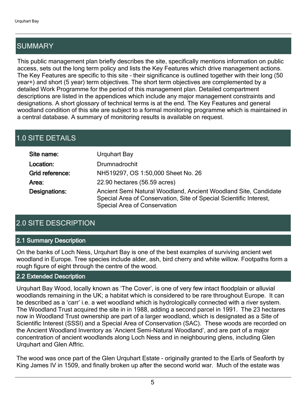### SUMMARY

This public management plan briefly describes the site, specifically mentions information on public access, sets out the long term policy and lists the Key Features which drive management actions. The Key Features are specific to this site - their significance is outlined together with their long (50 year+) and short (5 year) term objectives. The short term objectives are complemented by a detailed Work Programme for the period of this management plan. Detailed compartment descriptions are listed in the appendices which include any major management constraints and designations. A short glossary of technical terms is at the end. The Key Features and general woodland condition of this site are subject to a formal monitoring programme which is maintained in a central database. A summary of monitoring results is available on request.

### 1.0 SITE DETAILS

| Site name:      | <b>Urguhart Bay</b>                                                                                                                                                   |
|-----------------|-----------------------------------------------------------------------------------------------------------------------------------------------------------------------|
| Location:       | Drumnadrochit                                                                                                                                                         |
| Grid reference: | NH519297, OS 1:50,000 Sheet No. 26                                                                                                                                    |
| Area:           | 22.90 hectares (56.59 acres)                                                                                                                                          |
| Designations:   | Ancient Semi Natural Woodland, Ancient Woodland Site, Candidate<br>Special Area of Conservation, Site of Special Scientific Interest,<br>Special Area of Conservation |

### 2.0 SITE DESCRIPTION

### 2.1 Summary Description

On the banks of Loch Ness, Urquhart Bay is one of the best examples of surviving ancient wet woodland in Europe. Tree species include alder, ash, bird cherry and white willow. Footpaths form a rough figure of eight through the centre of the wood.

### 2.2 Extended Description

Urquhart Bay Wood, locally known as 'The Cover', is one of very few intact floodplain or alluvial woodlands remaining in the UK; a habitat which is considered to be rare throughout Europe. It can be described as a 'carr' i.e. a wet woodland which is hydrologically connected with a river system. The Woodland Trust acquired the site in in 1988, adding a second parcel in 1991. The 23 hectares now in Woodland Trust ownership are part of a larger woodland, which is designated as a Site of Scientific Interest (SSSI) and a Special Area of Conservation (SAC). These woods are recorded on the Ancient Woodland Inventory as 'Ancient Semi-Natural Woodland', and are part of a major concentration of ancient woodlands along Loch Ness and in neighbouring glens, including Glen Urquhart and Glen Affric.

The wood was once part of the Glen Urquhart Estate - originally granted to the Earls of Seaforth by King James IV in 1509, and finally broken up after the second world war. Much of the estate was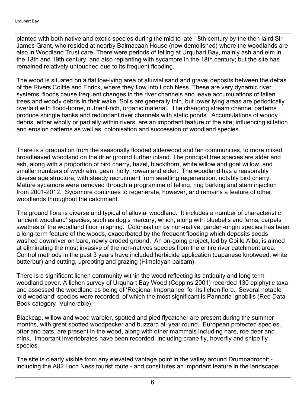planted with both native and exotic species during the mid to late 18th century by the then laird Sir James Grant, who resided at nearby Balmacaan House (now demolished) where the woodlands are also in Woodland Trust care. There were periods of felling at Urquhart Bay, mainly ash and elm in the 18th and 19th century, and also replanting with sycamore in the 18th century; but the site has remained relatively untouched due to its frequent flooding.

The wood is situated on a flat low-lying area of alluvial sand and gravel deposits between the deltas of the Rivers Coiltie and Enrick, where they flow into Loch Ness. These are very dynamic river systems; floods cause frequent changes in the river channels and leave accumulations of fallen trees and woody debris in their wake. Soils are generally thin, but lower lying areas are periodically overlaid with flood-borne, nutrient-rich, organic material. The changing stream channel patterns produce shingle banks and redundant river channels with static ponds. Accumulations of woody debris, either wholly or partially within rivers, are an important feature of the site; influencing siltation and erosion patterns as well as colonisation and succession of woodland species.

There is a graduation from the seasonally flooded alderwood and fen communities, to more mixed broadleaved woodland on the drier ground further inland. The principal tree species are alder and ash, along with a proportion of bird cherry, hazel, blackthorn, white willow and goat willow, and smaller numbers of wych elm, gean, holly, rowan and elder. The woodland has a reasonably diverse age structure, with steady recruitment from seedling regeneration, notably bird cherry. Mature sycamore were removed through a programme of felling, ring barking and stem injection from 2001-2012. Sycamore continues to regenerate, however, and remains a feature of other woodlands throughout the catchment.

The ground flora is diverse and typical of alluvial woodland. It includes a number of characteristic 'ancient woodland' species, such as dog's mercury, which, along with bluebells and ferns, carpets swathes of the woodland floor in spring. Colonisation by non-native, garden-origin species has been a long-term feature of the woods, exacerbated by the frequent flooding which deposits seeds washed downriver on bare, newly eroded ground. An on-going project, led by Coille Alba, is aimed at eliminating the most invasive of the non-natives species from the entire river catchment area. Control methods in the past 3 years have included herbicide application (Japanese knotweed, white butterbur) and cutting, uprooting and grazing (Himalayan balsam).

There is a significant lichen community within the wood reflecting its antiquity and long term woodland cover. A lichen survey of Urquhart Bay Wood (Coppins 2001) recorded 130 epiphytic taxa and assessed the woodland as being of 'Regional Importance' for its lichen flora. Several notable 'old woodland' species were recorded, of which the most significant is Pannaria ignobilis (Red Data Book category- Vulnerable).

Blackcap, willow and wood warbler, spotted and pied flycatcher are present during the summer months, with great spotted woodpecker and buzzard all year round. European protected species, otter and bats, are present in the wood, along with other mammals including hare, roe deer and mink. Important invertebrates have been recorded, including crane fly, hoverfly and snipe fly species.

The site is clearly visible from any elevated vantage point in the valley around Drumnadrochit including the A82 Loch Ness tourist route - and constitutes an important feature in the landscape.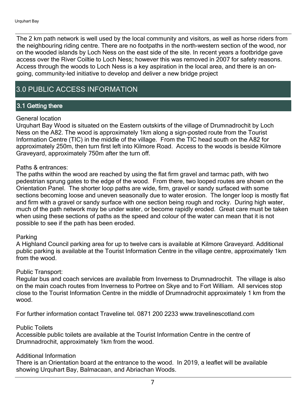The 2 km path network is well used by the local community and visitors, as well as horse riders from the neighbouring riding centre. There are no footpaths in the north-western section of the wood, nor on the wooded islands by Loch Ness on the east side of the site. In recent years a footbridge gave access over the River Coiltie to Loch Ness; however this was removed in 2007 for safety reasons. Access through the woods to Loch Ness is a key aspiration in the local area, and there is an ongoing, community-led initiative to develop and deliver a new bridge project

### 3.0 PUBLIC ACCESS INFORMATION

### 3.1 Getting there

#### General location

Urquhart Bay Wood is situated on the Eastern outskirts of the village of Drumnadrochit by Loch Ness on the A82. The wood is approximately 1km along a sign-posted route from the Tourist Information Centre (TIC) in the middle of the village. From the TIC head south on the A82 for approximately 250m, then turn first left into Kilmore Road. Access to the woods is beside Kilmore Graveyard, approximately 750m after the turn off.

#### Paths & entrances:

The paths within the wood are reached by using the flat firm gravel and tarmac path, with two pedestrian sprung gates to the edge of the wood. From there, two looped routes are shown on the Orientation Panel. The shorter loop paths are wide, firm, gravel or sandy surfaced with some sections becoming loose and uneven seasonally due to water erosion. The longer loop is mostly flat and firm with a gravel or sandy surface with one section being rough and rocky. During high water, much of the path network may be under water, or become rapidly eroded. Great care must be taken when using these sections of paths as the speed and colour of the water can mean that it is not possible to see if the path has been eroded.

#### Parking

A Highland Council parking area for up to twelve cars is available at Kilmore Graveyard. Additional public parking is available at the Tourist Information Centre in the village centre, approximately 1km from the wood.

#### Public Transport:

Regular bus and coach services are available from Inverness to Drumnadrochit. The village is also on the main coach routes from Inverness to Portree on Skye and to Fort William. All services stop close to the Tourist Information Centre in the middle of Drumnadrochit approximately 1 km from the wood.

For further information contact Traveline tel. 0871 200 2233 www.travelinescotland.com

#### Public Toilets

Accessible public toilets are available at the Tourist Information Centre in the centre of Drumnadrochit, approximately 1km from the wood.

#### Additional Information

There is an Orientation board at the entrance to the wood. In 2019, a leaflet will be available showing Urquhart Bay, Balmacaan, and Abriachan Woods.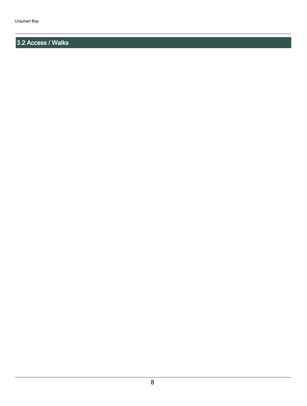### 3.2 Access / Walks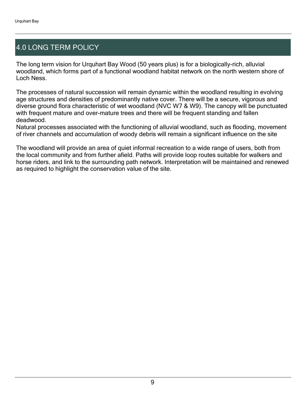### 4.0 LONG TERM POLICY

The long term vision for Urquhart Bay Wood (50 years plus) is for a biologically-rich, alluvial woodland, which forms part of a functional woodland habitat network on the north western shore of Loch Ness.

The processes of natural succession will remain dynamic within the woodland resulting in evolving age structures and densities of predominantly native cover. There will be a secure, vigorous and diverse ground flora characteristic of wet woodland (NVC W7 & W9). The canopy will be punctuated with frequent mature and over-mature trees and there will be frequent standing and fallen deadwood.

Natural processes associated with the functioning of alluvial woodland, such as flooding, movement of river channels and accumulation of woody debris will remain a significant influence on the site

The woodland will provide an area of quiet informal recreation to a wide range of users, both from the local community and from further afield. Paths will provide loop routes suitable for walkers and horse riders, and link to the surrounding path network. Interpretation will be maintained and renewed as required to highlight the conservation value of the site.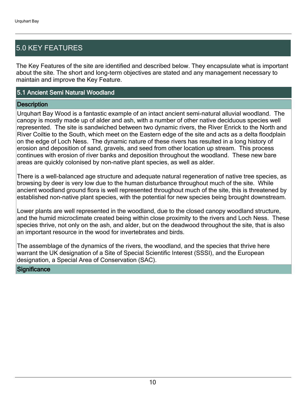### 5.0 KEY FEATURES

The Key Features of the site are identified and described below. They encapsulate what is important about the site. The short and long-term objectives are stated and any management necessary to maintain and improve the Key Feature.

### 5.1 Ancient Semi Natural Woodland

### **Description**

Urquhart Bay Wood is a fantastic example of an intact ancient semi-natural alluvial woodland. The canopy is mostly made up of alder and ash, with a number of other native deciduous species well represented. The site is sandwiched between two dynamic rivers, the River Enrick to the North and River Coiltie to the South, which meet on the Eastern edge of the site and acts as a delta floodplain on the edge of Loch Ness. The dynamic nature of these rivers has resulted in a long history of erosion and deposition of sand, gravels, and seed from other location up stream. This process continues with erosion of river banks and deposition throughout the woodland. These new bare areas are quickly colonised by non-native plant species, as well as alder.

There is a well-balanced age structure and adequate natural regeneration of native tree species, as browsing by deer is very low due to the human disturbance throughout much of the site. While ancient woodland ground flora is well represented throughout much of the site, this is threatened by established non-native plant species, with the potential for new species being brought downstream.

Lower plants are well represented in the woodland, due to the closed canopy woodland structure, and the humid microclimate created being within close proximity to the rivers and Loch Ness. These species thrive, not only on the ash, and alder, but on the deadwood throughout the site, that is also an important resource in the wood for invertebrates and birds.

The assemblage of the dynamics of the rivers, the woodland, and the species that thrive here warrant the UK designation of a Site of Special Scientific Interest (SSSI), and the European designation, a Special Area of Conservation (SAC).

#### **Significance**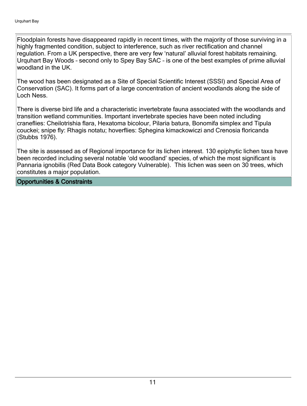Floodplain forests have disappeared rapidly in recent times, with the majority of those surviving in a highly fragmented condition, subject to interference, such as river rectification and channel regulation. From a UK perspective, there are very few 'natural' alluvial forest habitats remaining. Urquhart Bay Woods - second only to Spey Bay SAC - is one of the best examples of prime alluvial woodland in the UK.

The wood has been designated as a Site of Special Scientific Interest (SSSI) and Special Area of Conservation (SAC). It forms part of a large concentration of ancient woodlands along the side of Loch Ness.

There is diverse bird life and a characteristic invertebrate fauna associated with the woodlands and transition wetland communities. Important invertebrate species have been noted including craneflies: Cheilotrishia flara, Hexatoma bicolour, Pilaria batura, Bonomifa simplex and Tipula couckei; snipe fly: Rhagis notatu; hoverflies: Sphegina kimackowiczi and Crenosia floricanda (Stubbs 1976).

The site is assessed as of Regional importance for its lichen interest. 130 epiphytic lichen taxa have been recorded including several notable 'old woodland' species, of which the most significant is Pannaria ignobilis (Red Data Book category Vulnerable). This lichen was seen on 30 trees, which constitutes a major population.

### Opportunities & Constraints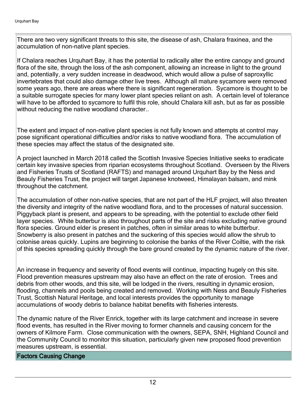There are two very significant threats to this site, the disease of ash, Chalara fraxinea, and the accumulation of non-native plant species.

If Chalara reaches Urquhart Bay, it has the potential to radically alter the entire canopy and ground flora of the site, through the loss of the ash component, allowing an increase in light to the ground and, potentially, a very sudden increase in deadwood, which would allow a pulse of saproxyllic invertebrates that could also damage other live trees. Although all mature sycamore were removed some years ago, there are areas where there is significant regeneration. Sycamore is thought to be a suitable surrogate species for many lower plant species reliant on ash. A certain level of tolerance will have to be afforded to sycamore to fulfil this role, should Chalara kill ash, but as far as possible without reducing the native woodland character..

The extent and impact of non-native plant species is not fully known and attempts at control may pose significant operational difficulties and/or risks to native woodland flora. The accumulation of these species may affect the status of the designated site.

A project launched in March 2018 called the Scottish Invasive Species Initiative seeks to eradicate certain key invasive species from riparian ecosystems throughout Scotland. Overseen by the Rivers and Fisheries Trusts of Scotland (RAFTS) and managed around Urquhart Bay by the Ness and Beauly Fisheries Trust, the project will target Japanese knotweed, Himalayan balsam, and mink throughout the catchment.

The accumulation of other non-native species, that are not part of the HLF project, will also threaten the diversity and integrity of the native woodland flora, and to the processes of natural succession. Piggyback plant is present, and appears to be spreading, with the potential to exclude other field layer species. White butterbur is also throughout parts of the site and risks excluding native ground flora species. Ground elder is present in patches, often in similar areas to white butterbur. Snowberry is also present in patches and the suckering of this species would allow the shrub to colonise areas quickly. Lupins are beginning to colonise the banks of the River Coiltie, with the risk of this species spreading quickly through the bare ground created by the dynamic nature of the river.

An increase in frequency and severity of flood events will continue, impacting hugely on this site. Flood prevention measures upstream may also have an effect on the rate of erosion. Trees and debris from other woods, and this site, will be lodged in the rivers, resulting in dynamic erosion, flooding, channels and pools being created and removed. Working with Ness and Beauly Fisheries Trust, Scottish Natural Heritage, and local interests provides the opportunity to manage accumulations of woody debris to balance habitat benefits with fisheries interests.

The dynamic nature of the River Enrick, together with its large catchment and increase in severe flood events, has resulted in the River moving to former channels and causing concern for the owners of Kilmore Farm. Close communication with the owners, SEPA, SNH, Highland Council and the Community Council to monitor this situation, particularly given new proposed flood prevention measures upstream, is essential.

### Factors Causing Change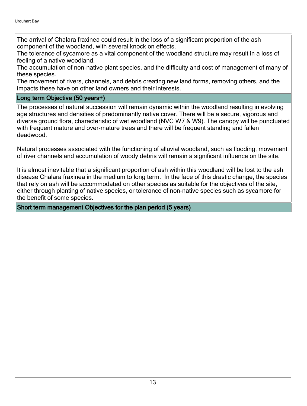The arrival of Chalara fraxinea could result in the loss of a significant proportion of the ash component of the woodland, with several knock on effects.

The tolerance of sycamore as a vital component of the woodland structure may result in a loss of feeling of a native woodland.

The accumulation of non-native plant species, and the difficulty and cost of management of many of these species.

The movement of rivers, channels, and debris creating new land forms, removing others, and the impacts these have on other land owners and their interests.

### Long term Objective (50 years+)

The processes of natural succession will remain dynamic within the woodland resulting in evolving age structures and densities of predominantly native cover. There will be a secure, vigorous and diverse ground flora, characteristic of wet woodland (NVC W7 & W9). The canopy will be punctuated with frequent mature and over-mature trees and there will be frequent standing and fallen deadwood.

Natural processes associated with the functioning of alluvial woodland, such as flooding, movement of river channels and accumulation of woody debris will remain a significant influence on the site.

It is almost inevitable that a significant proportion of ash within this woodland will be lost to the ash disease Chalara fraxinea in the medium to long term. In the face of this drastic change, the species that rely on ash will be accommodated on other species as suitable for the objectives of the site, either through planting of native species, or tolerance of non-native species such as sycamore for the benefit of some species.

Short term management Objectives for the plan period (5 years)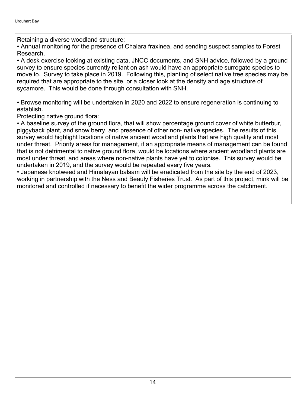Retaining a diverse woodland structure:

Annual monitoring for the presence of Chalara fraxinea, and sending suspect samples to Forest Research.

A desk exercise looking at existing data, JNCC documents, and SNH advice, followed by a ground survey to ensure species currently reliant on ash would have an appropriate surrogate species to move to. Survey to take place in 2019. Following this, planting of select native tree species may be required that are appropriate to the site, or a closer look at the density and age structure of sycamore. This would be done through consultation with SNH.

Browse monitoring will be undertaken in 2020 and 2022 to ensure regeneration is continuing to establish.

Protecting native ground flora:

A baseline survey of the ground flora, that will show percentage ground cover of white butterbur, piggyback plant, and snow berry, and presence of other non- native species. The results of this survey would highlight locations of native ancient woodland plants that are high quality and most under threat. Priority areas for management, if an appropriate means of management can be found that is not detrimental to native ground flora, would be locations where ancient woodland plants are most under threat, and areas where non-native plants have yet to colonise. This survey would be undertaken in 2019, and the survey would be repeated every five years.

Japanese knotweed and Himalayan balsam will be eradicated from the site by the end of 2023, working in partnership with the Ness and Beauly Fisheries Trust. As part of this project, mink will be monitored and controlled if necessary to benefit the wider programme across the catchment.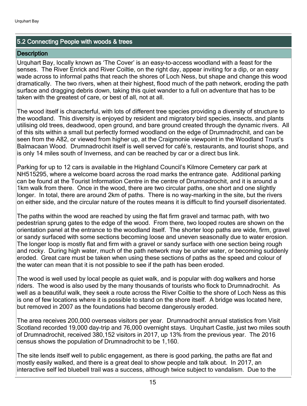### 5.2 Connecting People with woods & trees

### **Description**

Urquhart Bay, locally known as 'The Cover' is an easy-to-access woodland with a feast for the senses. The River Enrick and River Coiltie, on the right day, appear inviting for a dip, or an easy wade across to informal paths that reach the shores of Loch Ness, but shape and change this wood dramatically. The two rivers, when at their highest, flood much of the path network, eroding the path surface and dragging debris down, taking this quiet wander to a full on adventure that has to be taken with the greatest of care, or best of all, not at all.

The wood itself is characterful, with lots of different tree species providing a diversity of structure to the woodland. This diversity is enjoyed by resident and migratory bird species, insects, and plants utilising old trees, deadwood, open ground, and bare ground created through the dynamic rivers. All of this sits within a small but perfectly formed woodland on the edge of Drumnadrochit, and can be seen from the A82, or viewed from higher up, at the Craigmonie viewpoint in the Woodland Trust's Balmacaan Wood. Drumnadrochit itself is well served for café's, restaurants, and tourist shops, and is only 14 miles south of Inverness, and can be reached by car or a direct bus link.

Parking for up to 12 cars is available in the Highland Council's Kilmore Cemetery car park at NH515295, where a welcome board across the road marks the entrance gate. Additional parking can be found at the Tourist Information Centre in the centre of Drumnadrochit, and it is around a 1km walk from there. Once in the wood, there are two circular paths, one short and one slightly longer. In total, there are around 2km of paths. There is no way-marking in the site, but the rivers on either side, and the circular nature of the routes means it is difficult to find yourself disorientated.

The paths within the wood are reached by using the flat firm gravel and tarmac path, with two pedestrian sprung gates to the edge of the wood. From there, two looped routes are shown on the orientation panel at the entrance to the woodland itself. The shorter loop paths are wide, firm, gravel or sandy surfaced with some sections becoming loose and uneven seasonally due to water erosion. The longer loop is mostly flat and firm with a gravel or sandy surface with one section being rough and rocky. During high water, much of the path network may be under water, or becoming suddenly eroded. Great care must be taken when using these sections of paths as the speed and colour of the water can mean that it is not possible to see if the path has been eroded.

The wood is well used by local people as quiet walk, and is popular with dog walkers and horse riders. The wood is also used by the many thousands of tourists who flock to Drumnadrochit. As well as a beautiful walk, they seek a route across the River Coiltie to the shore of Loch Ness as this is one of few locations where it is possible to stand on the shore itself. A bridge was located here, but removed in 2007 as the foundations had become dangerously eroded.

The area receives 200,000 overseas visitors per year. Drumnadrochit annual statistics from Visit Scotland recorded 19,000 day-trip and 76,000 overnight stays. Urquhart Castle, just two miles south of Drumnadrochit, received 380,152 visitors in 2017, up 13% from the previous year. The 2016 census shows the population of Drumnadrochit to be 1,160.

The site lends itself well to public engagement, as there is good parking, the paths are flat and mostly easily walked, and there is a great deal to show people and talk about. In 2017, an interactive self led bluebell trail was a success, although twice subject to vandalism. Due to the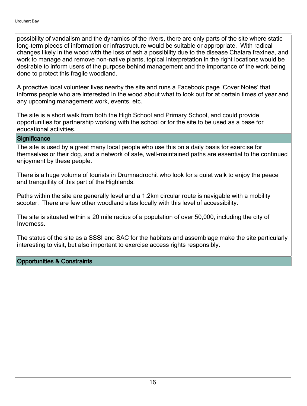possibility of vandalism and the dynamics of the rivers, there are only parts of the site where static long-term pieces of information or infrastructure would be suitable or appropriate. With radical changes likely in the wood with the loss of ash a possibility due to the disease Chalara fraxinea, and work to manage and remove non-native plants, topical interpretation in the right locations would be desirable to inform users of the purpose behind management and the importance of the work being done to protect this fragile woodland.

A proactive local volunteer lives nearby the site and runs a Facebook page 'Cover Notes' that informs people who are interested in the wood about what to look out for at certain times of year and any upcoming management work, events, etc.

The site is a short walk from both the High School and Primary School, and could provide opportunities for partnership working with the school or for the site to be used as a base for educational activities.

#### **Significance**

The site is used by a great many local people who use this on a daily basis for exercise for themselves or their dog, and a network of safe, well-maintained paths are essential to the continued enjoyment by these people.

There is a huge volume of tourists in Drumnadrochit who look for a quiet walk to enjoy the peace and tranquillity of this part of the Highlands.

Paths within the site are generally level and a 1.2km circular route is navigable with a mobility scooter. There are few other woodland sites locally with this level of accessibility.

The site is situated within a 20 mile radius of a population of over 50,000, including the city of Inverness.

The status of the site as a SSSI and SAC for the habitats and assemblage make the site particularly interesting to visit, but also important to exercise access rights responsibly.

#### Opportunities & Constraints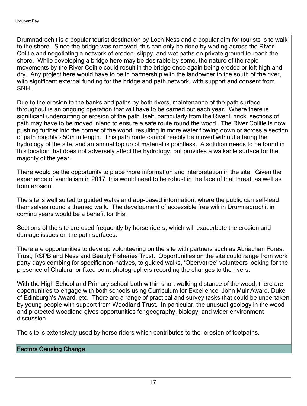Drumnadrochit is a popular tourist destination by Loch Ness and a popular aim for tourists is to walk to the shore. Since the bridge was removed, this can only be done by wading across the River Coiltie and negotiating a network of eroded, slippy, and wet paths on private ground to reach the shore. While developing a bridge here may be desirable by some, the nature of the rapid movements by the River Coiltie could result in the bridge once again being eroded or left high and dry. Any project here would have to be in partnership with the landowner to the south of the river, with significant external funding for the bridge and path network, with support and consent from SNH.

Due to the erosion to the banks and paths by both rivers, maintenance of the path surface throughout is an ongoing operation that will have to be carried out each year. Where there is significant undercutting or erosion of the path itself, particularly from the River Enrick, sections of path may have to be moved inland to ensure a safe route round the wood. The River Coiltie is now pushing further into the corner of the wood, resulting in more water flowing down or across a section of path roughly 250m in length. This path route cannot readily be moved without altering the hydrology of the site, and an annual top up of material is pointless. A solution needs to be found in this location that does not adversely affect the hydrology, but provides a walkable surface for the majority of the year.

There would be the opportunity to place more information and interpretation in the site. Given the experience of vandalism in 2017, this would need to be robust in the face of that threat, as well as from erosion.

The site is well suited to guided walks and app-based information, where the public can self-lead themselves round a themed walk. The development of accessible free wifi in Drumnadrochit in coming years would be a benefit for this.

Sections of the site are used frequently by horse riders, which will exacerbate the erosion and damage issues on the path surfaces.

There are opportunities to develop volunteering on the site with partners such as Abriachan Forest Trust, RSPB and Ness and Beauly Fisheries Trust. Opportunities on the site could range from work party days combing for specific non-natives, to guided walks, 'Obervatree' volunteers looking for the presence of Chalara, or fixed point photographers recording the changes to the rivers.

With the High School and Primary school both within short walking distance of the wood, there are opportunities to engage with both schools using Curriculum for Excellence, John Muir Award, Duke of Edinburgh's Award, etc. There are a range of practical and survey tasks that could be undertaken by young people with support from Woodland Trust. In particular, the unusual geology in the wood and protected woodland gives opportunities for geography, biology, and wider environment discussion.

The site is extensively used by horse riders which contributes to the erosion of footpaths.

### Factors Causing Change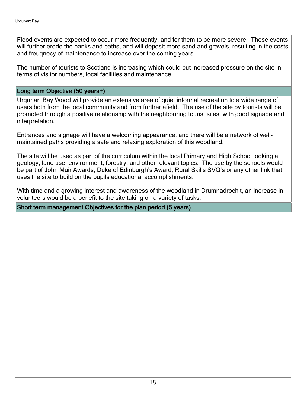Flood events are expected to occur more frequently, and for them to be more severe. These events will further erode the banks and paths, and will deposit more sand and gravels, resulting in the costs and freuqnecy of maintenance to increase over the coming years.

The number of tourists to Scotland is increasing which could put increased pressure on the site in terms of visitor numbers, local facilities and maintenance.

#### Long term Objective (50 years+)

Urquhart Bay Wood will provide an extensive area of quiet informal recreation to a wide range of users both from the local community and from further afield. The use of the site by tourists will be promoted through a positive relationship with the neighbouring tourist sites, with good signage and interpretation.

Entrances and signage will have a welcoming appearance, and there will be a network of wellmaintained paths providing a safe and relaxing exploration of this woodland.

The site will be used as part of the curriculum within the local Primary and High School looking at geology, land use, environment, forestry, and other relevant topics. The use by the schools would be part of John Muir Awards, Duke of Edinburgh's Award, Rural Skills SVQ's or any other link that uses the site to build on the pupils educational accomplishments.

With time and a growing interest and awareness of the woodland in Drumnadrochit, an increase in volunteers would be a benefit to the site taking on a variety of tasks.

Short term management Objectives for the plan period (5 years)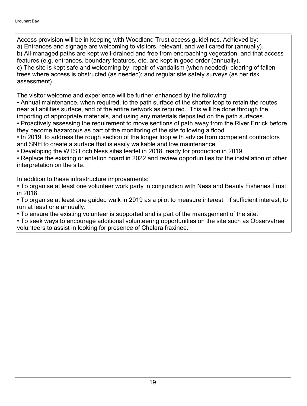Access provision will be in keeping with Woodland Trust access guidelines. Achieved by: a) Entrances and signage are welcoming to visitors, relevant, and well cared for (annually). b) All managed paths are kept well-drained and free from encroaching vegetation, and that access features (e.g. entrances, boundary features, etc. are kept in good order (annually). c) The site is kept safe and welcoming by: repair of vandalism (when needed); clearing of fallen trees where access is obstructed (as needed); and regular site safety surveys (as per risk assessment).

The visitor welcome and experience will be further enhanced by the following:

Annual maintenance, when required, to the path surface of the shorter loop to retain the routes near all abilities surface, and of the entire network as required. This will be done through the importing of appropriate materials, and using any materials deposited on the path surfaces. Proactively assessing the requirement to move sections of path away from the River Enrick before

they become hazardous as part of the monitoring of the site following a flood.

• In 2019, to address the rough section of the longer loop with advice from competent contractors and SNH to create a surface that is easily walkable and low maintenance.

Developing the WTS Loch Ness sites leaflet in 2018, ready for production in 2019.

Replace the existing orientation board in 2022 and review opportunities for the installation of other interpretation on the site.

In addition to these infrastructure improvements:

To organise at least one volunteer work party in conjunction with Ness and Beauly Fisheries Trust in 2018.

To organise at least one guided walk in 2019 as a pilot to measure interest. If sufficient interest, to run at least one annually.

To ensure the existing volunteer is supported and is part of the management of the site.

To seek ways to encourage additional volunteering opportunities on the site such as Observatree volunteers to assist in looking for presence of Chalara fraxinea.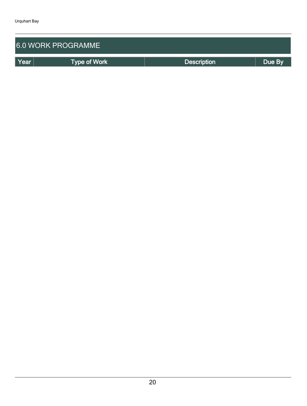| 6.0 WORK PROGRAMME |                     |                    |        |  |  |  |  |  |  |
|--------------------|---------------------|--------------------|--------|--|--|--|--|--|--|
| Year               | <b>Type of Work</b> | <b>Description</b> | Due By |  |  |  |  |  |  |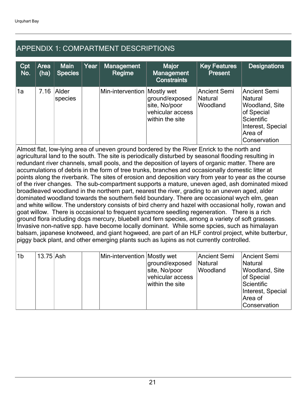### APPENDIX 1: COMPARTMENT DESCRIPTIONS

| Cpt<br>No.                                                                                                                                                                                                                                                                                                                                                                                                                                                                                                                                                                                                                                                                                                                                                                                                                                                                                                                                                                                                                                                                                                                                                                                                                                                                                                                                                                                                                      | Area<br>(ha) | <b>Main</b><br><b>Species</b> | Year | <b>Management</b><br>Regime   | <b>Major</b><br><b>Management</b><br><b>Constraints</b>                | <b>Key Features</b><br><b>Present</b>      | <b>Designations</b>                                                                                                                 |  |
|---------------------------------------------------------------------------------------------------------------------------------------------------------------------------------------------------------------------------------------------------------------------------------------------------------------------------------------------------------------------------------------------------------------------------------------------------------------------------------------------------------------------------------------------------------------------------------------------------------------------------------------------------------------------------------------------------------------------------------------------------------------------------------------------------------------------------------------------------------------------------------------------------------------------------------------------------------------------------------------------------------------------------------------------------------------------------------------------------------------------------------------------------------------------------------------------------------------------------------------------------------------------------------------------------------------------------------------------------------------------------------------------------------------------------------|--------------|-------------------------------|------|-------------------------------|------------------------------------------------------------------------|--------------------------------------------|-------------------------------------------------------------------------------------------------------------------------------------|--|
| 1a                                                                                                                                                                                                                                                                                                                                                                                                                                                                                                                                                                                                                                                                                                                                                                                                                                                                                                                                                                                                                                                                                                                                                                                                                                                                                                                                                                                                                              | 7.16         | Alder<br>species              |      | Min-intervention   Mostly wet | ground/exposed<br>site, No/poor<br>vehicular access<br>within the site | <b>Ancient Semi</b><br>Natural<br>Woodland | <b>Ancient Semi</b><br><b>Natural</b><br>Woodland, Site<br>of Special<br>Scientific<br>Interest, Special<br>Area of<br>Conservation |  |
| Almost flat, low-lying area of uneven ground bordered by the River Enrick to the north and<br>agricultural land to the south. The site is periodically disturbed by seasonal flooding resulting in<br>redundant river channels, small pools, and the deposition of layers of organic matter. There are<br>accumulations of debris in the form of tree trunks, branches and occasionally domestic litter at<br>points along the riverbank. The sites of erosion and deposition vary from year to year as the course<br>of the river changes. The sub-compartment supports a mature, uneven aged, ash dominated mixed<br>broadleaved woodland in the northern part, nearest the river, grading to an uneven aged, alder<br>dominated woodland towards the southern field boundary. There are occasional wych elm, gean<br>and white willow. The understory consists of bird cherry and hazel with occasional holly, rowan and<br>goat willow. There is occasional to frequent sycamore seedling regeneration. There is a rich<br>ground flora including dogs mercury, bluebell and fern species, among a variety of soft grasses.<br>Invasive non-native spp. have become locally dominant. While some spcies, such as himalayan<br>balsam, japanese knotweed, and giant hogweed, are part of an HLF control project, white butterbur,<br>piggy back plant, and other emerging plants such as lupins as not currently controlled. |              |                               |      |                               |                                                                        |                                            |                                                                                                                                     |  |
| 1 <sub>b</sub>                                                                                                                                                                                                                                                                                                                                                                                                                                                                                                                                                                                                                                                                                                                                                                                                                                                                                                                                                                                                                                                                                                                                                                                                                                                                                                                                                                                                                  | $13.75$ Ash  |                               |      | Min-intervention   Mostly wet | ground/exposed                                                         | <b>Ancient Semi</b><br>Natural             | <b>Ancient Semi</b><br>Natural                                                                                                      |  |

|  |  |  |  |  | ground/exposed<br>site, No/poor<br>vehicular access<br>within the site | Natural<br>Woodland | Natural<br>Woodland, Site<br>of Special<br>Scientific<br>Interest, Special<br>Area of<br>Conservation |
|--|--|--|--|--|------------------------------------------------------------------------|---------------------|-------------------------------------------------------------------------------------------------------|
|--|--|--|--|--|------------------------------------------------------------------------|---------------------|-------------------------------------------------------------------------------------------------------|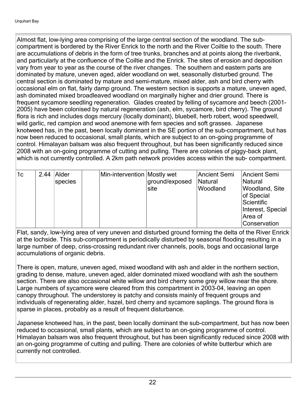Almost flat, low-lying area comprising of the large central section of the woodland. The subcompartment is bordered by the River Enrick to the north and the River Coiltie to the south. There are accumulations of debris in the form of tree trunks, branches and at points along the riverbank, and particularly at the confluence of the Coiltie and the Enrick. The sites of erosion and deposition vary from year to year as the course of the river changes. The southern and eastern parts are dominated by mature, uneven aged, alder woodland on wet, seasonally disturbed ground. The central section is dominated by mature and semi-mature, mixed alder, ash and bird cherry with occasional elm on flat, fairly damp ground. The western section is supports a mature, uneven aged, ash dominated mixed broadleaved woodland on marginally higher and drier ground. There is frequent sycamore seedling regeneration. Glades created by felling of sycamore and beech (2001- 2005) have been colonised by natural regeneration (ash, elm, sycamore, bird cherry). The ground flora is rich and includes dogs mercury (locally dominant), bluebell, herb robert, wood speedwell, wild garlic, red campion and wood anemone with fern species and soft grasses. Japanese knotweed has, in the past, been locally dominant in the SE portion of the sub-compartment, but has now been reduced to occasional, small plants, which are subject to an on-going programme of control. Himalayan balsam was also frequent throughout, but has been significantly reduced since 2008 with an on-going programme of cutting and pulling. There are colonies of piggy-back plant, which is not currently controlled. A 2km path network provides access within the sub- compartment.

| 1c | $2.44$  Alder<br> species | Min-intervention Mostly wet | ground/exposed<br>site | Ancient Semi<br>Natural<br>Woodland | Ancient Semi<br>Natural<br><b>Woodland, Site</b><br>of Special<br>Scientific<br>Interest, Special<br>Area of |
|----|---------------------------|-----------------------------|------------------------|-------------------------------------|--------------------------------------------------------------------------------------------------------------|
|    |                           |                             |                        |                                     | Conservation                                                                                                 |

Flat, sandy, low-lying area of very uneven and disturbed ground forming the delta of the River Enrick at the lochside. This sub-compartment is periodically disturbed by seasonal flooding resulting in a large number of deep, criss-crossing redundant river channels, pools, bogs and occasional large accumulations of organic debris.

There is open, mature, uneven aged, mixed woodland with ash and alder in the northern section, grading to dense, mature, uneven aged, alder dominated mixed woodland with ash the southern section. There are also occasional white willow and bird cherry some grey willow near the shore. Large numbers of sycamore were cleared from this compartment in 2003-04, leaving an open canopy throughout. The understorey is patchy and consists mainly of frequent groups and individuals of regenerating alder, hazel, bird cherry and sycamore saplings. The ground flora is sparse in places, probably as a result of frequent disturbance.

Japanese knotweed has, in the past, been locally dominant the sub-compartment, but has now been reduced to occasional, small plants, which are subject to an on-going programme of control. Himalayan balsam was also frequent throughout, but has been significantly reduced since 2008 with an on-going programme of cutting and pulling. There are colonies of white butterbur which are currently not controlled.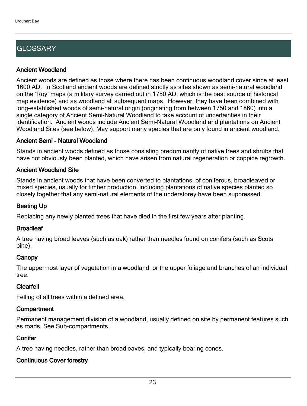### **GLOSSARY**

### Ancient Woodland

Ancient woods are defined as those where there has been continuous woodland cover since at least 1600 AD. In Scotland ancient woods are defined strictly as sites shown as semi-natural woodland on the 'Roy' maps (a military survey carried out in 1750 AD, which is the best source of historical map evidence) and as woodland all subsequent maps. However, they have been combined with long-established woods of semi-natural origin (originating from between 1750 and 1860) into a single category of Ancient Semi-Natural Woodland to take account of uncertainties in their identification. Ancient woods include Ancient Semi-Natural Woodland and plantations on Ancient Woodland Sites (see below). May support many species that are only found in ancient woodland.

### Ancient Semi - Natural Woodland

Stands in ancient woods defined as those consisting predominantly of native trees and shrubs that have not obviously been planted, which have arisen from natural regeneration or coppice regrowth.

### Ancient Woodland Site

Stands in ancient woods that have been converted to plantations, of coniferous, broadleaved or mixed species, usually for timber production, including plantations of native species planted so closely together that any semi-natural elements of the understorey have been suppressed.

### Beating Up

Replacing any newly planted trees that have died in the first few years after planting.

### **Broadleaf**

A tree having broad leaves (such as oak) rather than needles found on conifers (such as Scots pine).

### **Canopy**

The uppermost layer of vegetation in a woodland, or the upper foliage and branches of an individual tree.

### Clearfell

Felling of all trees within a defined area.

### **Compartment**

Permanent management division of a woodland, usually defined on site by permanent features such as roads. See Sub-compartments.

### **Conifer**

A tree having needles, rather than broadleaves, and typically bearing cones.

### Continuous Cover forestry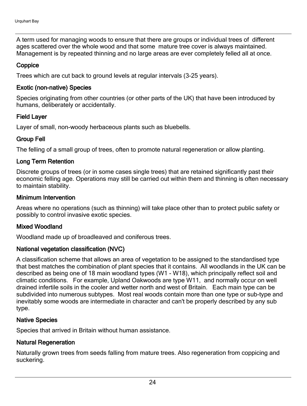A term used for managing woods to ensure that there are groups or individual trees of different ages scattered over the whole wood and that some mature tree cover is always maintained. Management is by repeated thinning and no large areas are ever completely felled all at once.

### **Coppice**

Trees which are cut back to ground levels at regular intervals (3-25 years).

### Exotic (non-native) Species

Species originating from other countries (or other parts of the UK) that have been introduced by humans, deliberately or accidentally.

### Field Layer

Layer of small, non-woody herbaceous plants such as bluebells.

### Group Fell

The felling of a small group of trees, often to promote natural regeneration or allow planting.

### Long Term Retention

Discrete groups of trees (or in some cases single trees) that are retained significantly past their economic felling age. Operations may still be carried out within them and thinning is often necessary to maintain stability.

### Minimum Intervention

Areas where no operations (such as thinning) will take place other than to protect public safety or possibly to control invasive exotic species.

### Mixed Woodland

Woodland made up of broadleaved and coniferous trees.

### National vegetation classification (NVC)

A classification scheme that allows an area of vegetation to be assigned to the standardised type that best matches the combination of plant species that it contains. All woodlands in the UK can be described as being one of 18 main woodland types (W1 - W18), which principally reflect soil and climatic conditions. For example, Upland Oakwoods are type W11, and normally occur on well drained infertile soils in the cooler and wetter north and west of Britain. Each main type can be subdivided into numerous subtypes. Most real woods contain more than one type or sub-type and inevitably some woods are intermediate in character and can't be properly described by any sub type.

### Native Species

Species that arrived in Britain without human assistance.

### Natural Regeneration

Naturally grown trees from seeds falling from mature trees. Also regeneration from coppicing and suckering.